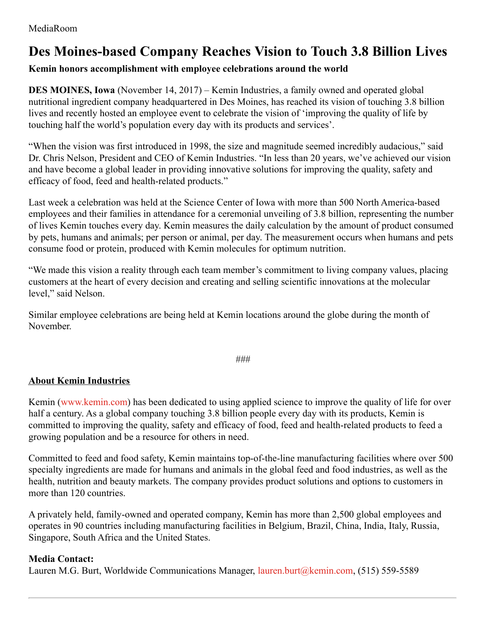## **Des Moines-based Company Reaches Vision to Touch 3.8 Billion Lives**

## **Kemin honors accomplishment with employee celebrations around the world**

**DES MOINES, Iowa** (November 14, 2017) – Kemin Industries, a family owned and operated global nutritional ingredient company headquartered in Des Moines, has reached its vision of touching 3.8 billion lives and recently hosted an employee event to celebrate the vision of 'improving the quality of life by touching half the world's population every day with its products and services'.

"When the vision was first introduced in 1998, the size and magnitude seemed incredibly audacious," said Dr. Chris Nelson, President and CEO of Kemin Industries. "In less than 20 years, we've achieved our vision and have become a global leader in providing innovative solutions for improving the quality, safety and efficacy of food, feed and health-related products."

Last week a celebration was held at the Science Center of Iowa with more than 500 North America-based employees and their families in attendance for a ceremonial unveiling of 3.8 billion, representing the number of lives Kemin touches every day. Kemin measures the daily calculation by the amount of product consumed by pets, humans and animals; per person or animal, per day. The measurement occurs when humans and pets consume food or protein, produced with Kemin molecules for optimum nutrition.

"We made this vision a reality through each team member's commitment to living company values, placing customers at the heart of every decision and creating and selling scientific innovations at the molecular level," said Nelson.

Similar employee celebrations are being held at Kemin locations around the globe during the month of November.

*###*

## **About Kemin Industries**

Kemin [\(www.kemin.com](http://www.kemin.com/)) has been dedicated to using applied science to improve the quality of life for over half a century. As a global company touching 3.8 billion people every day with its products, Kemin is committed to improving the quality, safety and efficacy of food, feed and health-related products to feed a growing population and be a resource for others in need.

Committed to feed and food safety, Kemin maintains top-of-the-line manufacturing facilities where over 500 specialty ingredients are made for humans and animals in the global feed and food industries, as well as the health, nutrition and beauty markets. The company provides product solutions and options to customers in more than 120 countries.

A privately held, family-owned and operated company, Kemin has more than 2,500 global employees and operates in 90 countries including manufacturing facilities in Belgium, Brazil, China, India, Italy, Russia, Singapore, South Africa and the United States.

## **Media Contact:**

Lauren M.G. Burt, Worldwide Communications Manager, [lauren.burt@kemin.com](mailto:lauren.burt@kemin.com), (515) 559-5589